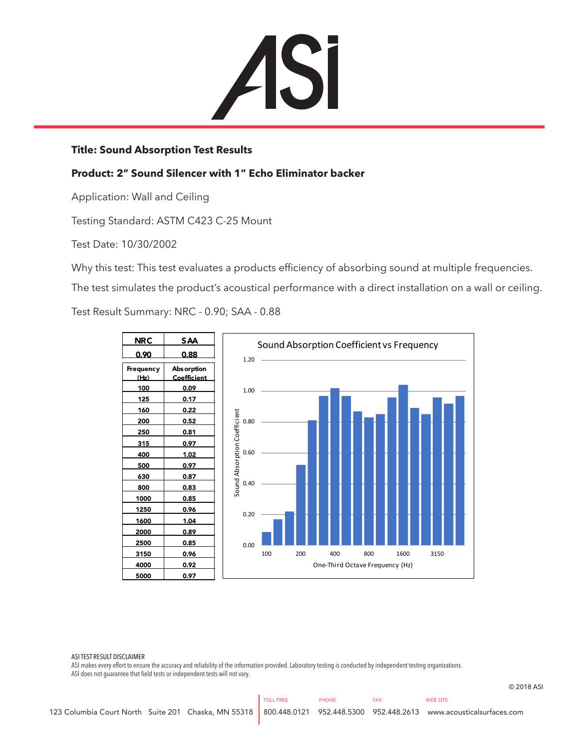ASI

## **Title: Sound Absorption Test Results**

## **Product: 2" Sound Silencer with 1" Echo Eliminator backer**

Application: Wall and Ceiling

Testing Standard: ASTM C423 C-25 Mount

Test Date: 10/30/2002

Why this test: This test evaluates a products efficiency of absorbing sound at multiple frequencies.

The test simulates the product's acoustical performance with a direct installation on a wall or ceiling.

Test Result Summary: NRC - 0.90; SAA - 0.88



## ASI TEST RESULT DISCLAIMER

ASI makes every effort to ensure the accuracy and reliability of the information provided. Laboratory testing is conducted by independent testing organizations. ASI does not guarantee that field tests or independent tests will not vary.

© 2018 ASI